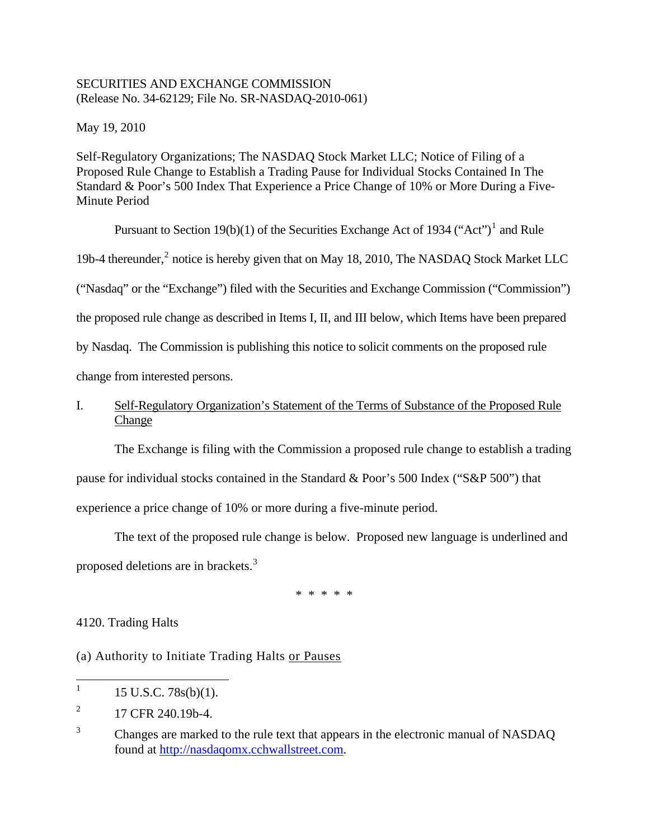## SECURITIES AND EXCHANGE COMMISSION (Release No. 34-62129; File No. SR-NASDAQ-2010-061)

May 19, 2010

Self-Regulatory Organizations; The NASDAQ Stock Market LLC; Notice of Filing of a Proposed Rule Change to Establish a Trading Pause for Individual Stocks Contained In The Standard & Poor's 500 Index That Experience a Price Change of 10% or More During a Five-Minute Period

Pursuant to Section [1](#page-0-0)9(b)(1) of the Securities Exchange Act of 1934 ("Act")<sup>1</sup> and Rule

19b-4 thereunder,<sup>[2](#page-0-1)</sup> notice is hereby given that on May 18, 2010, The NASDAQ Stock Market LLC

("Nasdaq" or the "Exchange") filed with the Securities and Exchange Commission ("Commission")

the proposed rule change as described in Items I, II, and III below, which Items have been prepared

by Nasdaq. The Commission is publishing this notice to solicit comments on the proposed rule

change from interested persons.

# I. Self-Regulatory Organization's Statement of the Terms of Substance of the Proposed Rule Change

The Exchange is filing with the Commission a proposed rule change to establish a trading

pause for individual stocks contained in the Standard & Poor's 500 Index ("S&P 500") that

experience a price change of 10% or more during a five-minute period.

The text of the proposed rule change is below. Proposed new language is underlined and proposed deletions are in brackets.<sup>[3](#page-0-2)</sup>

\* \* \* \* \*

4120. Trading Halts

(a) Authority to Initiate Trading Halts or Pauses

<span id="page-0-0"></span> 1 15 U.S.C. 78s(b)(1).

<span id="page-0-1"></span><sup>2</sup> 17 CFR 240.19b-4.

<span id="page-0-2"></span><sup>3</sup> Changes are marked to the rule text that appears in the electronic manual of NASDAQ found at [http://nasdaqomx.cchwallstreet.com.](http://nasdaqomx.cchwallstreet.com/)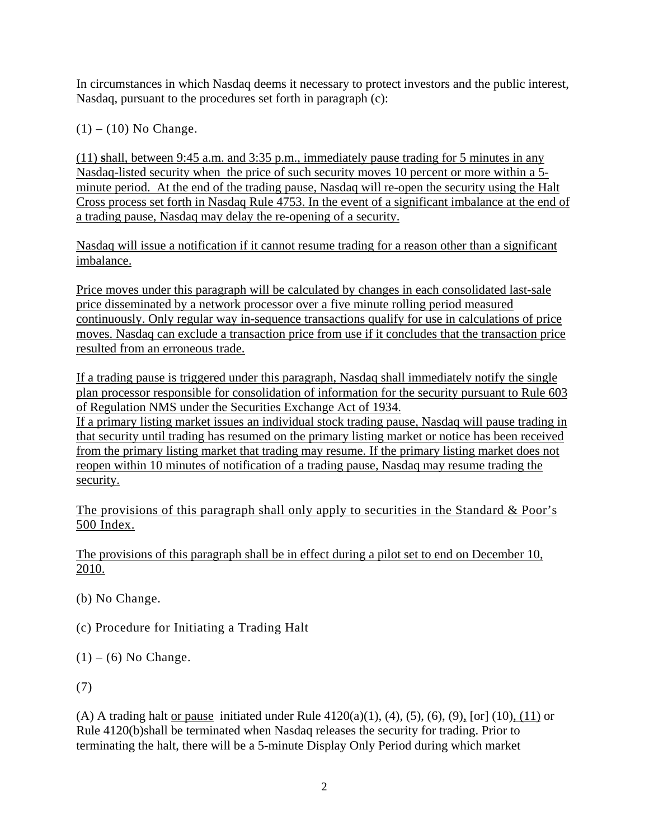In circumstances in which Nasdaq deems it necessary to protect investors and the public interest, Nasdaq, pursuant to the procedures set forth in paragraph (c):

 $(1) - (10)$  No Change.

(11) **s**hall, between 9:45 a.m. and 3:35 p.m., immediately pause trading for 5 minutes in any Nasdaq-listed security when the price of such security moves 10 percent or more within a 5 minute period. At the end of the trading pause, Nasdaq will re-open the security using the Halt Cross process set forth in Nasdaq Rule 4753. In the event of a significant imbalance at the end of a trading pause, Nasdaq may delay the re-opening of a security.

Nasdaq will issue a notification if it cannot resume trading for a reason other than a significant imbalance.

Price moves under this paragraph will be calculated by changes in each consolidated last-sale price disseminated by a network processor over a five minute rolling period measured continuously. Only regular way in-sequence transactions qualify for use in calculations of price moves. Nasdaq can exclude a transaction price from use if it concludes that the transaction price resulted from an erroneous trade.

If a trading pause is triggered under this paragraph, Nasdaq shall immediately notify the single plan processor responsible for consolidation of information for the security pursuant to Rule 603 of Regulation NMS under the Securities Exchange Act of 1934. If a primary listing market issues an individual stock trading pause, Nasdaq will pause trading in that security until trading has resumed on the primary listing market or notice has been received from the primary listing market that trading may resume. If the primary listing market does not reopen within 10 minutes of notification of a trading pause, Nasdaq may resume trading the security.

The provisions of this paragraph shall only apply to securities in the Standard  $\&$  Poor's 500 Index.

The provisions of this paragraph shall be in effect during a pilot set to end on December 10, 2010.

(b) No Change.

(c) Procedure for Initiating a Trading Halt

 $(1) - (6)$  No Change.

(7)

(A) A trading halt <u>or pause</u> initiated under Rule  $4120(a)(1)$ ,  $(4)$ ,  $(5)$ ,  $(6)$ ,  $(9)$ ,  $[or]$   $(10)$ ,  $(11)$  or Rule 4120(b)shall be terminated when Nasdaq releases the security for trading. Prior to terminating the halt, there will be a 5-minute Display Only Period during which market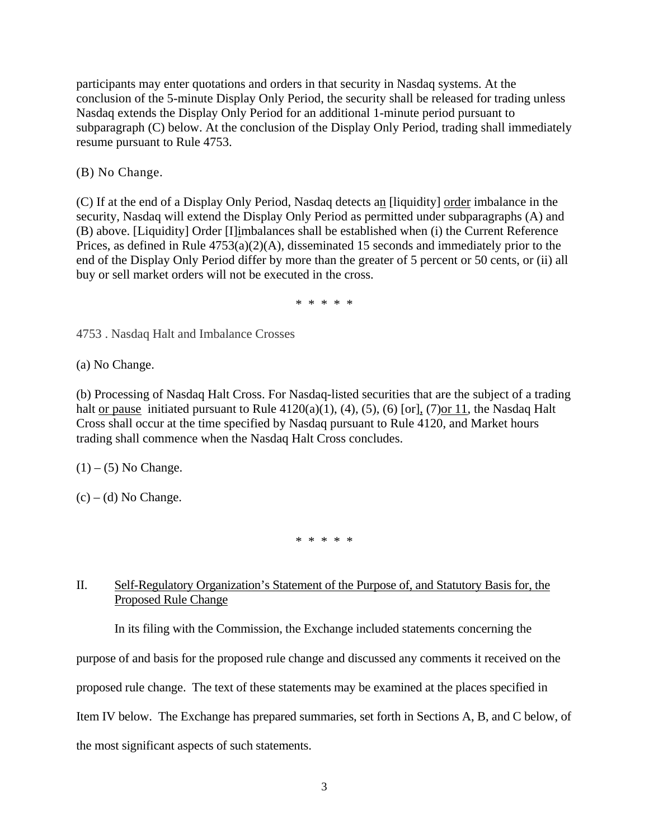participants may enter quotations and orders in that security in Nasdaq systems. At the conclusion of the 5-minute Display Only Period, the security shall be released for trading unless Nasdaq extends the Display Only Period for an additional 1-minute period pursuant to subparagraph (C) below. At the conclusion of the Display Only Period, trading shall immediately resume pursuant to Rule 4753.

(B) No Change.

(C) If at the end of a Display Only Period, Nasdaq detects an [liquidity] order imbalance in the security, Nasdaq will extend the Display Only Period as permitted under subparagraphs (A) and (B) above. [Liquidity] Order [I]imbalances shall be established when (i) the Current Reference Prices, as defined in Rule  $4753(a)(2)(A)$ , disseminated 15 seconds and immediately prior to the end of the Display Only Period differ by more than the greater of 5 percent or 50 cents, or (ii) all buy or sell market orders will not be executed in the cross.

\* \* \* \* \*

4753 . Nasdaq Halt and Imbalance Crosses

(a) No Change.

(b) Processing of Nasdaq Halt Cross. For Nasdaq-listed securities that are the subject of a trading halt or pause initiated pursuant to Rule  $4120(a)(1)$ ,  $(4)$ ,  $(5)$ ,  $(6)$  [or],  $(7)$ or 11, the Nasdaq Halt Cross shall occur at the time specified by Nasdaq pursuant to Rule 4120, and Market hours trading shall commence when the Nasdaq Halt Cross concludes.

 $(1) - (5)$  No Change.

 $(c) - (d)$  No Change.

\* \* \* \* \*

## II. Self-Regulatory Organization's Statement of the Purpose of, and Statutory Basis for, the Proposed Rule Change

In its filing with the Commission, the Exchange included statements concerning the

purpose of and basis for the proposed rule change and discussed any comments it received on the

proposed rule change. The text of these statements may be examined at the places specified in

Item IV below. The Exchange has prepared summaries, set forth in Sections A, B, and C below, of

the most significant aspects of such statements.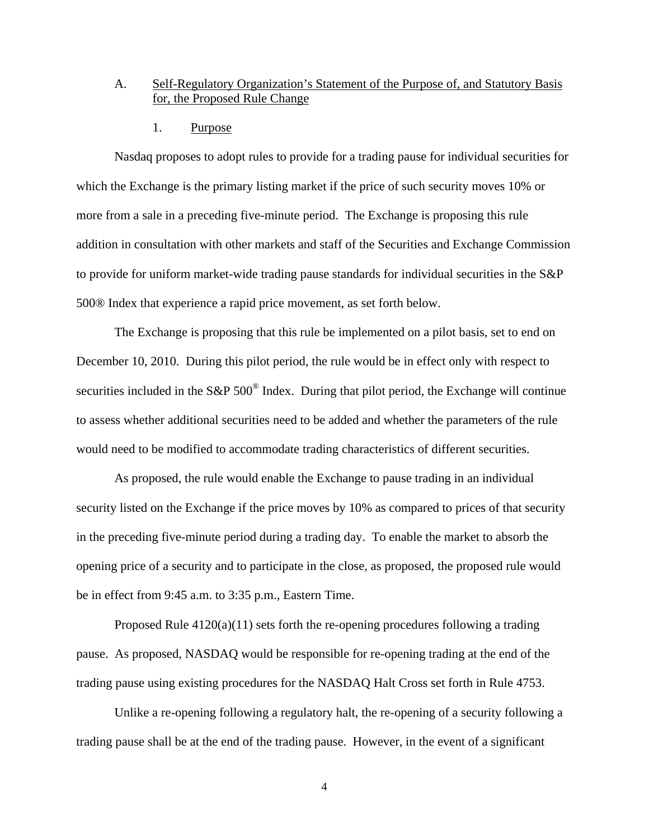### A. Self-Regulatory Organization's Statement of the Purpose of, and Statutory Basis for, the Proposed Rule Change

1. Purpose

Nasdaq proposes to adopt rules to provide for a trading pause for individual securities for which the Exchange is the primary listing market if the price of such security moves 10% or more from a sale in a preceding five-minute period. The Exchange is proposing this rule addition in consultation with other markets and staff of the Securities and Exchange Commission to provide for uniform market-wide trading pause standards for individual securities in the S&P 500® Index that experience a rapid price movement, as set forth below.

The Exchange is proposing that this rule be implemented on a pilot basis, set to end on December 10, 2010. During this pilot period, the rule would be in effect only with respect to securities included in the S&P 500<sup>®</sup> Index. During that pilot period, the Exchange will continue to assess whether additional securities need to be added and whether the parameters of the rule would need to be modified to accommodate trading characteristics of different securities.

As proposed, the rule would enable the Exchange to pause trading in an individual security listed on the Exchange if the price moves by 10% as compared to prices of that security in the preceding five-minute period during a trading day. To enable the market to absorb the opening price of a security and to participate in the close, as proposed, the proposed rule would be in effect from 9:45 a.m. to 3:35 p.m., Eastern Time.

Proposed Rule  $4120(a)(11)$  sets forth the re-opening procedures following a trading pause. As proposed, NASDAQ would be responsible for re-opening trading at the end of the trading pause using existing procedures for the NASDAQ Halt Cross set forth in Rule 4753.

Unlike a re-opening following a regulatory halt, the re-opening of a security following a trading pause shall be at the end of the trading pause. However, in the event of a significant

4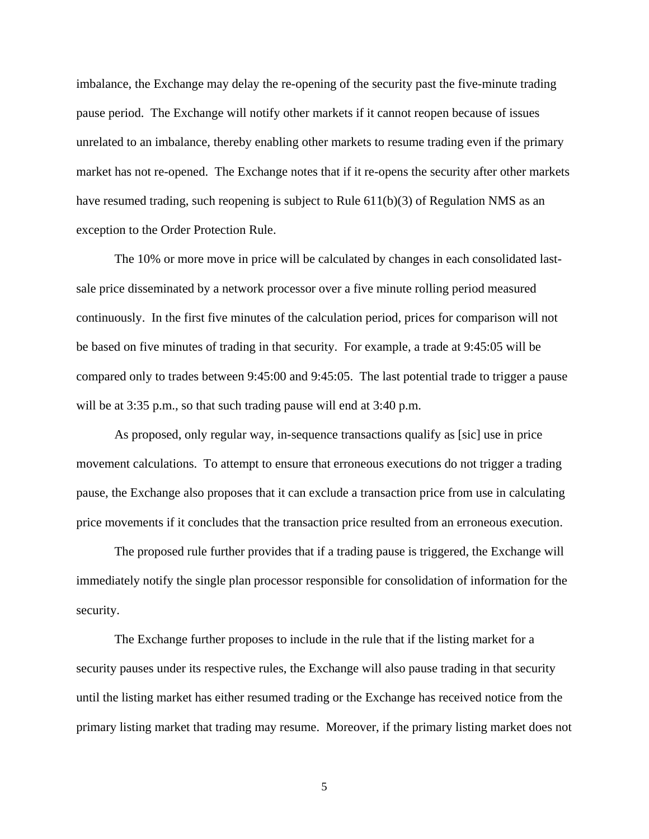imbalance, the Exchange may delay the re-opening of the security past the five-minute trading pause period. The Exchange will notify other markets if it cannot reopen because of issues unrelated to an imbalance, thereby enabling other markets to resume trading even if the primary market has not re-opened. The Exchange notes that if it re-opens the security after other markets have resumed trading, such reopening is subject to Rule 611(b)(3) of Regulation NMS as an exception to the Order Protection Rule.

The 10% or more move in price will be calculated by changes in each consolidated lastsale price disseminated by a network processor over a five minute rolling period measured continuously. In the first five minutes of the calculation period, prices for comparison will not be based on five minutes of trading in that security. For example, a trade at 9:45:05 will be compared only to trades between 9:45:00 and 9:45:05. The last potential trade to trigger a pause will be at 3:35 p.m., so that such trading pause will end at 3:40 p.m.

As proposed, only regular way, in-sequence transactions qualify as [sic] use in price movement calculations. To attempt to ensure that erroneous executions do not trigger a trading pause, the Exchange also proposes that it can exclude a transaction price from use in calculating price movements if it concludes that the transaction price resulted from an erroneous execution.

The proposed rule further provides that if a trading pause is triggered, the Exchange will immediately notify the single plan processor responsible for consolidation of information for the security.

The Exchange further proposes to include in the rule that if the listing market for a security pauses under its respective rules, the Exchange will also pause trading in that security until the listing market has either resumed trading or the Exchange has received notice from the primary listing market that trading may resume. Moreover, if the primary listing market does not

5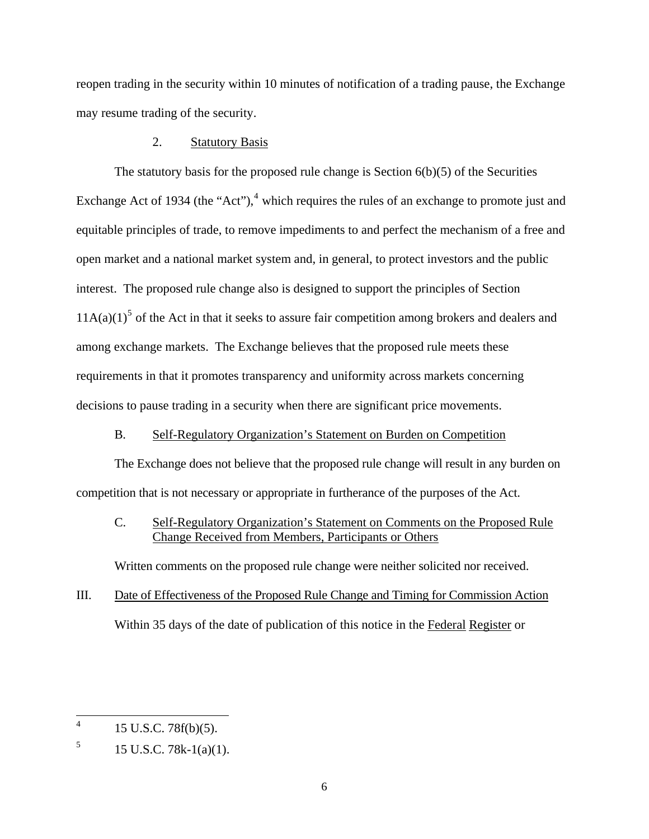reopen trading in the security within 10 minutes of notification of a trading pause, the Exchange may resume trading of the security.

## 2. Statutory Basis

The statutory basis for the proposed rule change is Section 6(b)(5) of the Securities Exchange Act of 193[4](#page-5-0) (the "Act"), $4$  which requires the rules of an exchange to promote just and equitable principles of trade, to remove impediments to and perfect the mechanism of a free and open market and a national market system and, in general, to protect investors and the public interest. The proposed rule change also is designed to support the principles of Section  $11A(a)(1)^5$  $11A(a)(1)^5$  of the Act in that it seeks to assure fair competition among brokers and dealers and among exchange markets. The Exchange believes that the proposed rule meets these requirements in that it promotes transparency and uniformity across markets concerning decisions to pause trading in a security when there are significant price movements.

## B. Self-Regulatory Organization's Statement on Burden on Competition

The Exchange does not believe that the proposed rule change will result in any burden on competition that is not necessary or appropriate in furtherance of the purposes of the Act.

C. Self-Regulatory Organization's Statement on Comments on the Proposed Rule Change Received from Members, Participants or Others

Written comments on the proposed rule change were neither solicited nor received.

III. Date of Effectiveness of the Proposed Rule Change and Timing for Commission Action Within 35 days of the date of publication of this notice in the Federal Register or

<span id="page-5-0"></span> $\frac{1}{4}$ 15 U.S.C. 78f(b)(5).

<span id="page-5-1"></span><sup>5</sup> 15 U.S.C. 78k-1(a)(1).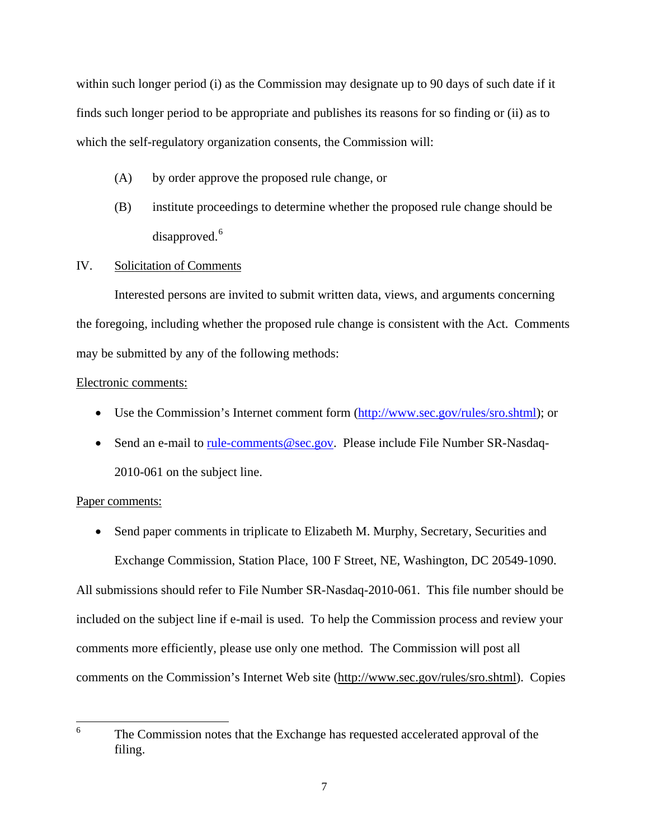within such longer period (i) as the Commission may designate up to 90 days of such date if it finds such longer period to be appropriate and publishes its reasons for so finding or (ii) as to which the self-regulatory organization consents, the Commission will:

- (A) by order approve the proposed rule change, or
- (B) institute proceedings to determine whether the proposed rule change should be disapproved.<sup>[6](#page-6-0)</sup>

#### IV. Solicitation of Comments

Interested persons are invited to submit written data, views, and arguments concerning the foregoing, including whether the proposed rule change is consistent with the Act. Comments may be submitted by any of the following methods:

#### Electronic comments:

- Use the Commission's Internet comment form (<http://www.sec.gov/rules/sro.shtml>); or
- Send an e-mail to [rule-comments@sec.gov.](mailto:rule-comments@sec.gov) Please include File Number SR-Nasdaq-2010-061 on the subject line.

#### Paper comments:

• Send paper comments in triplicate to Elizabeth M. Murphy, Secretary, Securities and Exchange Commission, Station Place, 100 F Street, NE, Washington, DC 20549-1090.

All submissions should refer to File Number SR-Nasdaq-2010-061. This file number should be included on the subject line if e-mail is used. To help the Commission process and review your comments more efficiently, please use only one method. The Commission will post all comments on the Commission's Internet Web site (http://www.sec.gov/rules/sro.shtml). Copies

<span id="page-6-0"></span> 6 The Commission notes that the Exchange has requested accelerated approval of the filing.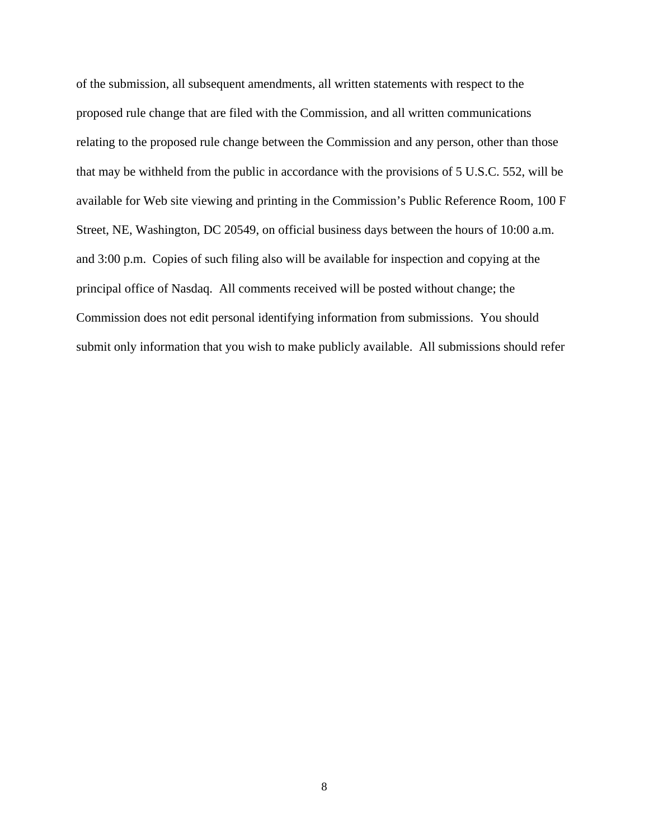of the submission, all subsequent amendments, all written statements with respect to the proposed rule change that are filed with the Commission, and all written communications relating to the proposed rule change between the Commission and any person, other than those that may be withheld from the public in accordance with the provisions of 5 U.S.C. 552, will be available for Web site viewing and printing in the Commission's Public Reference Room, 100 F Street, NE, Washington, DC 20549, on official business days between the hours of 10:00 a.m. and 3:00 p.m. Copies of such filing also will be available for inspection and copying at the principal office of Nasdaq. All comments received will be posted without change; the Commission does not edit personal identifying information from submissions. You should submit only information that you wish to make publicly available. All submissions should refer